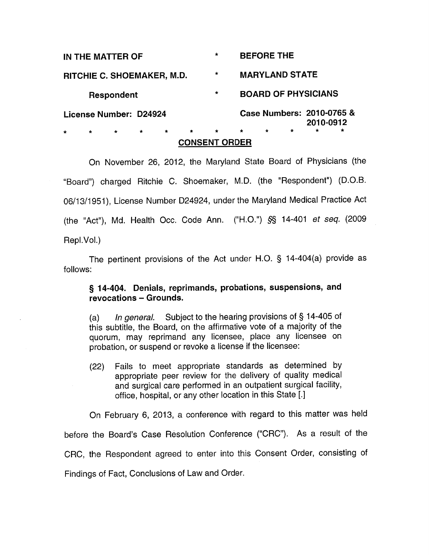| IN THE MATTER OF                                               | $\star$ | <b>BEFORE THE</b>                             |
|----------------------------------------------------------------|---------|-----------------------------------------------|
| RITCHIE C. SHOEMAKER, M.D.                                     | $\star$ | <b>MARYLAND STATE</b>                         |
| Respondent                                                     | $\star$ | <b>BOARD OF PHYSICIANS</b>                    |
| License Number: D24924                                         |         | Case Numbers: 2010-0765 &<br>2010-0912        |
| $\star$<br>$\star$<br>$\star$<br>$\star$<br>$\star$<br>$\star$ | $\star$ | $\star$<br>$\star$<br>$\star$<br>÷<br>$\star$ |

## **CONSENT ORDER**

On November 26, 2012, the Maryland State Board of Physicians (the "Board") charged Ritchie C. Shoemaker, M.D. (the "Respondent") (D.O.B. 06/13/1951), License Number 024924, under the Maryland Medical Practice Act (the "Act"), Md. Health Occ. Code Ann. ("H.O.") *§§* 14-401 et seq. (2009 Repi.Vol.)

The pertinent provisions of the Act under H.O. § 14-404(a) provide as follows:

# § **14-404. Denials, reprimands, probations, suspensions, and revocations - Grounds.**

(a) In general. Subject to the hearing provisions of  $\S$  14-405 of this subtitle, the Board, on the affirmative vote of a majority of the quorum, may reprimand any licensee, place any licensee on probation, or suspend or revoke a license if the licensee:

(22) Fails to meet appropriate standards as determined by appropriate peer review for the delivery of quality medical and surgical care performed in an outpatient surgical facility, office, hospital, or any other location in this State [.]

On February 6, 2013, a conference with regard to this matter was held before the Board's Case Resolution Conference ("CRC"). As a result of the CRC, the Respondent agreed to enter into this Consent Order, consisting of

Findings of Fact, Conclusions of Law and Order.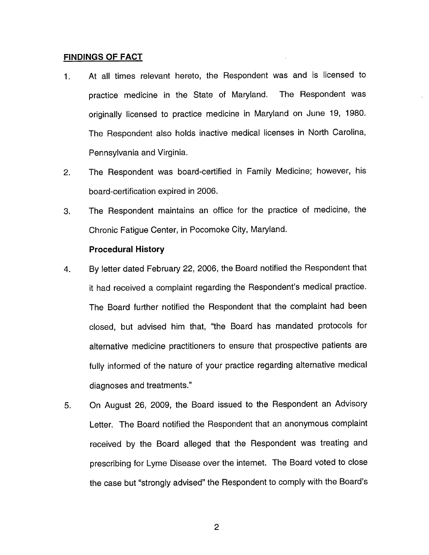#### **FINDINGS OF FACT**

- 1 . At all times relevant hereto, the Respondent was and is licensed to practice medicine in the State of Maryland. The Respondent was originally licensed to practice medicine in Maryland on June 19, 1980. The Respondent also holds inactive medical licenses in North Carolina, Pennsylvania and Virginia.
- 2. The Respondent was board-certified in Family Medicine; however, his board-certification expired in 2006.
- 3. The Respondent maintains an office for the practice of medicine, the Chronic Fatigue Center, in Pocomoke City, Maryland.

#### **Procedural History**

- 4. By letter dated February 22, 2006, the Board notified the Respondent that it had received a complaint regarding the Respondent's medical practice. The Board further notified the Respondent that the complaint had been closed, but advised him that, "the Board has mandated protocols for alternative medicine practitioners to ensure that prospective patients are fully informed of the nature of your practice regarding alternative medical diagnoses and treatments."
- 5. On August 26, 2009, the Board issued to the Respondent an Advisory Letter. The Board notified the Respondent that an anonymous complaint received by the Board alleged that the Respondent was treating and prescribing for Lyme Disease over the internet. The Board voted to close the case but "strongly advised" the Respondent to comply with the Board's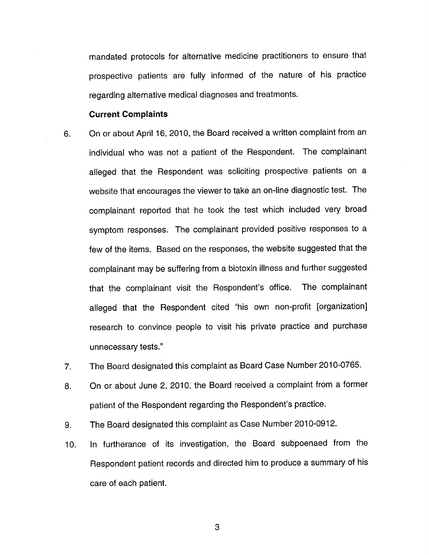mandated protocols for alternative medicine practitioners to ensure that prospective patients are fully informed of the nature of his practice regarding alternative medical diagnoses and treatments.

#### **Current Complaints**

- 6. On or about April 16, 2010, the Board received a written complaint from an individual who was not a patient of the Respondent. The complainant alleged that the Respondent was soliciting prospective patients on <sup>a</sup> website that encourages the viewer to take an on-line diagnostic test. The complainant reported that he took the test which included very broad symptom responses. The complainant provided positive responses to a few of the items. Based on the responses, the website suggested that the complainant may be suffering from a biotoxin illness and further suggested that the complainant visit the Respondent's office. The complainant alleged that the Respondent cited "his own non-profit [organization] research to convince people to visit his private practice and purchase unnecessary tests."
- 7. The Board designated this complaint as Board Case Number 2010-0765.
- 8. On or about June 2, 2010, the Board received a complaint from a former patient of the Respondent regarding the Respondent's practice.
- 9. The Board designated this complaint as Case Number 2010-0912.
- 10. In furtherance of its investigation, the Board subpoenaed from the Respondent patient records and directed him to produce a summary of his care of each patient.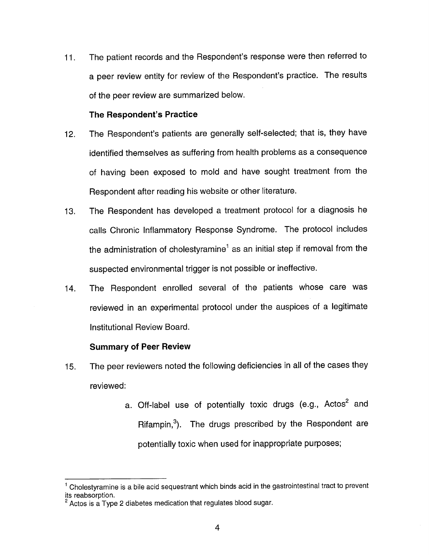<sup>11</sup>. The patient records and the Respondent's response were then referred to a peer review entity for review of the Respondent's practice. The results of the peer review are summarized below.

#### **The Respondent's Practice**

- 12. The Respondent's patients are generally self-selected; that is, they have identified themselves as suffering from health problems as a consequence of having been exposed to mold and have sought treatment from the Respondent after reading his website or other literature.
- 13. The Respondent has developed a treatment protocol for a diagnosis he calls Chronic Inflammatory Response Syndrome. The protocol includes the administration of cholestyramine<sup>1</sup> as an initial step if removal from the suspected environmental trigger is not possible or ineffective.
- 14. The Respondent enrolled several of the patients whose care was reviewed in an experimental protocol under the auspices of a legitimate Institutional Review Board.

### **Summary of Peer Review**

- 15. The peer reviewers noted the following deficiencies in all of the cases they reviewed:
	- a. Off-label use of potentially toxic drugs (e.g., Actos<sup>2</sup> and Rifampin,<sup>3</sup>). The drugs prescribed by the Respondent are potentially toxic when used for inappropriate purposes;

 $1$  Cholestyramine is a bile acid sequestrant which binds acid in the gastrointestinal tract to prevent its reabsorption.

 $2$  Actos is a Type 2 diabetes medication that regulates blood sugar.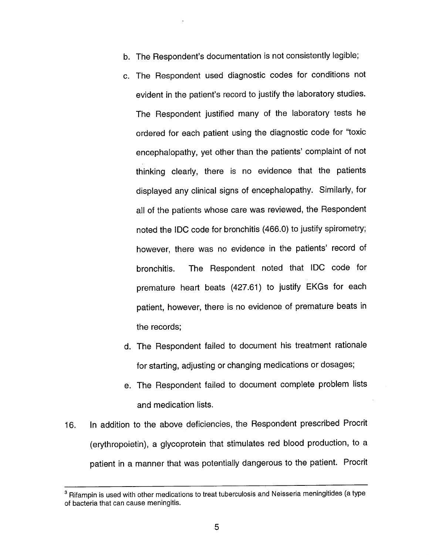- b. The Respondent's documentation is not consistently legible;
- c. The Respondent used diagnostic codes for conditions not evident in the patient's record to justify the laboratory studies. The Respondent justified many of the laboratory tests he ordered for each patient using the diagnostic code for "toxic encephalopathy, yet other than the patients' complaint of not thinking clearly, there is no evidence that the patients displayed any clinical signs of encephalopathy. Similarly, for all of the patients whose care was reviewed, the Respondent noted the IDC code for bronchitis (466.0) to justify spirometry; however, there was no evidence in the patients' record of bronchitis. The Respondent noted that IDC code for premature heart beats (427.61) to justify EKGs for each patient, however, there is no evidence of premature beats in the records;
- d. The Respondent failed to document his treatment rationale for starting, adjusting or changing medications or dosages;
- e. The Respondent failed to document complete problem lists and medication lists.
- 16. In addition to the above deficiencies, the Respondent prescribed Procrit (erythropoietin), a glycoprotein that stimulates red blood production, to a patient in a manner that was potentially dangerous to the patient. Procrit

 $3$  Rifampin is used with other medications to treat tuberculosis and Neisseria meningitides (a type of bacteria that can cause meningitis.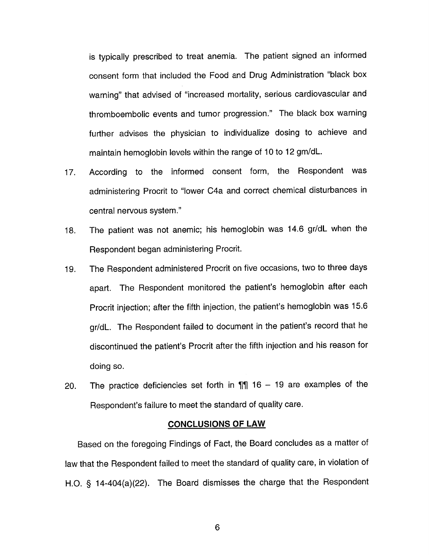is typically prescribed to treat anemia. The patient signed an informed consent form that included the Food and Drug Administration "black box warning" that advised of "increased mortality, serious cardiovascular and thromboembolic events and tumor progression." The black box warning further advises the physician to individualize dosing to achieve and maintain hemoglobin levels within the range of 10 to 12 gm/dL.

- 17. According to the informed consent form, the Respondent was administering Procrit to "lower C4a and correct chemical disturbances in central nervous system."
- 18. The patient was not anemic; his hemoglobin was 14.6 gr/dL when the Respondent began administering Procrit.
- 19. The Respondent administered Procrit on five occasions, two to three days apart. The Respondent monitored the patient's hemoglobin after each Procrit injection; after the fifth injection, the patient's hemoglobin was 15.6 gr/dl. The Respondent failed to document in the patient's record that he discontinued the patient's Procrit after the fifth injection and his reason for doing so.
- 20. The practice deficiencies set forth in  $\P$  $\parallel$  16 19 are examples of the Respondent's failure to meet the standard of quality care.

## **CONCLUSIONS OF LAW**

Based on the foregoing Findings of Fact, the Board concludes as a matter of law that the Respondent failed to meet the standard of quality care, in violation of H.O. § 14-404(a)(22). The Board dismisses the charge that the Respondent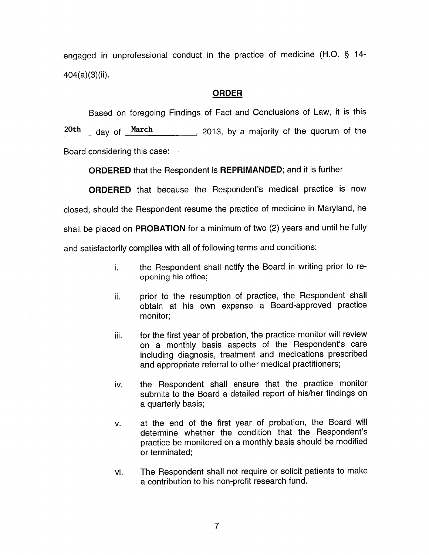engaged in unprofessional conduct in the practice of medicine (H.O. § 14- 404(a)(3)(ii).

## **ORDER**

Based on foregoing Findings of Fact and Conclusions of Law, it is this  $\frac{20th}{\text{day of}}$  day of  $\frac{\text{March}}{\text{March}}$ , 2013, by a majority of the quorum of the Board considering this case:

**ORDERED** that the Respondent is **REPRIMANDED;** and it is further

**ORDERED** that because the Respondent's medical practice is now closed, should the Respondent resume the practice of medicine in Maryland, he shall be placed on **PROBATION** for a minimum of two (2) years and until he fully and satisfactorily complies with all of following terms and conditions:

- i. the Respondent shall notify the Board in writing prior to reopening his office;
- ii. prior to the resumption of practice, the Respondent shall obtain at his own expense a Board-approved practice monitor;
- iii. for the first year of probation, the practice monitor will review on a monthly basis aspects of the Respondent's care including diagnosis, treatment and medications prescribed and appropriate referral to other medical practitioners;
- iv. the Respondent shall ensure that the practice monitor submits to the Board a detailed report of his/her findings on a quarterly basis;
- v. at the end of the first year of probation, the Board will determine whether the condition that the Respondent's practice be monitored on a monthly basis should be modified or terminated;
- vi. The Respondent shall not require or solicit patients to make a contribution to his non-profit research fund.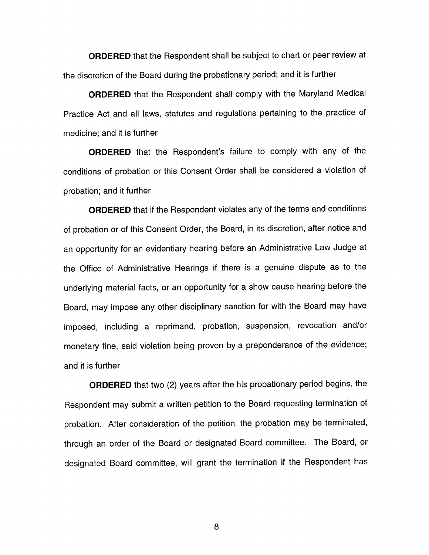**ORDERED** that the Respondent shall be subject to chart or peer review at the discretion of the Board during the probationary period; and it is further

**ORDERED** that the Respondent shall comply with the Maryland Medical Practice Act and all laws, statutes and regulations pertaining to the practice of medicine; and it is further

**ORDERED** that the Respondent's failure to comply with any of the conditions of probation or this Consent Order shall be considered a violation of probation; and it further

**ORDERED** that if the Respondent violates any of the terms and conditions of probation or of this Consent Order, the Board, in its discretion, after notice and an opportunity for an evidentiary hearing before an Administrative Law Judge at the Office of Administrative Hearings if there is a genuine dispute as to the underlying material facts, or an opportunity for a show cause hearing before the Board, may impose any other disciplinary sanction for with the Board may have imposed, including a reprimand, probation, suspension, revocation and/or monetary fine, said violation being proven by a preponderance of the evidence; and it is further

**ORDERED** that two (2) years after the his probationary period begins, the Respondent may submit a written petition to the Board requesting termination of probation. After consideration of the petition, the probation may be terminated, through an order of the Board or designated Board committee. The Board, or designated Board committee, will grant the termination if the Respondent has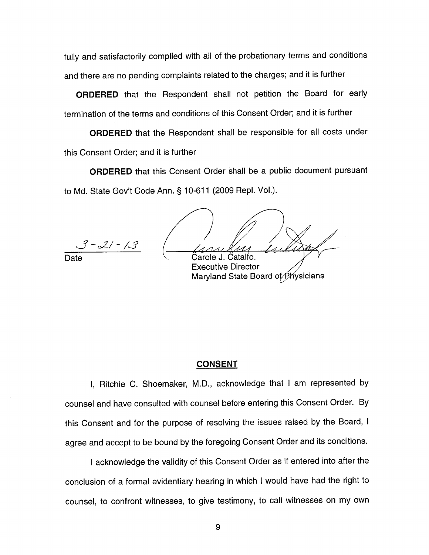fully and satisfactorily complied with all of the probationary terms and conditions and there are no pending complaints related to the charges; and it is further

**ORDERED** that the Respondent shall not petition the Board for early termination of the terms and conditions of this Consent Order; and it is further

**ORDERED** that the Respondent shall be responsible for all costs under this Consent Order; and it is further

**ORDERED** that this Consent Order shall be a public document pursuant to Md. State Gov't Code Ann.§ 10-611 (2009 Repl. Vol.).

 $3 - 21 - 13$ 

Catalfo.

Executive Director Maryland State Board of Physicians

### **CONSENT**

I, Ritchie C. Shoemaker, M.D., acknowledge that I am represented by counsel and have consulted with counsel before entering this Consent Order. By this Consent and for the purpose of resolving the issues raised by the Board, I agree and accept to be bound by the foregoing Consent Order and its conditions.

I acknowledge the validity of this Consent Order as if entered into after the conclusion of a formal evidentiary hearing in which I would have had the right to counsel, to confront witnesses, to give testimony, to call witnesses on my own